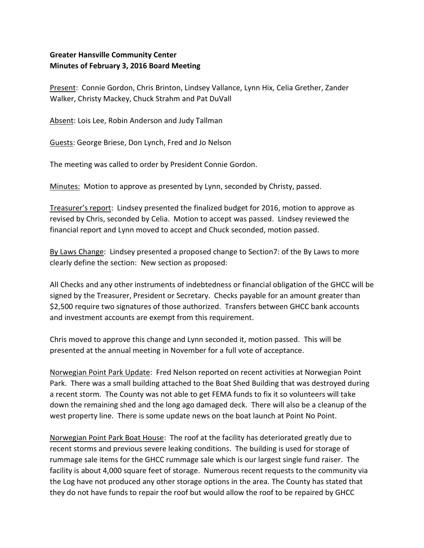## **Greater Hansville Community Center Minutes of February 3, 2016 Board Meeting**

Present: Connie Gordon, Chris Brinton, Lindsey Vallance, Lynn Hix, Celia Grether, Zander Walker, Christy Mackey, Chuck Strahm and Pat DuVall

Absent: Lois Lee, Robin Anderson and Judy Tallman

Guests: George Briese, Don Lynch, Fred and Jo Nelson

The meeting was called to order by President Connie Gordon.

Minutes: Motion to approve as presented by Lynn, seconded by Christy, passed.

Treasurer's report: Lindsey presented the finalized budget for 2016, motion to approve as revised by Chris, seconded by Celia. Motion to accept was passed. Lindsey reviewed the financial report and Lynn moved to accept and Chuck seconded, motion passed.

By Laws Change: Lindsey presented a proposed change to Section7: of the By Laws to more clearly define the section: New section as proposed:

All Checks and any other instruments of indebtedness or financial obligation of the GHCC will be signed by the Treasurer, President or Secretary. Checks payable for an amount greater than \$2,500 require two signatures of those authorized. Transfers between GHCC bank accounts and investment accounts are exempt from this requirement.

Chris moved to approve this change and Lynn seconded it, motion passed. This will be presented at the annual meeting in November for a full vote of acceptance.

Norwegian Point Park Update: Fred Nelson reported on recent activities at Norwegian Point Park. There was a small building attached to the Boat Shed Building that was destroyed during a recent storm. The County was not able to get FEMA funds to fix it so volunteers will take down the remaining shed and the long ago damaged deck. There will also be a cleanup of the west property line. There is some update news on the boat launch at Point No Point.

Norwegian Point Park Boat House: The roof at the facility has deteriorated greatly due to recent storms and previous severe leaking conditions. The building is used for storage of rummage sale items for the GHCC rummage sale which is our largest single fund raiser. The facility is about 4,000 square feet of storage. Numerous recent requests to the community via the Log have not produced any other storage options in the area. The County has stated that they do not have funds to repair the roof but would allow the roof to be repaired by GHCC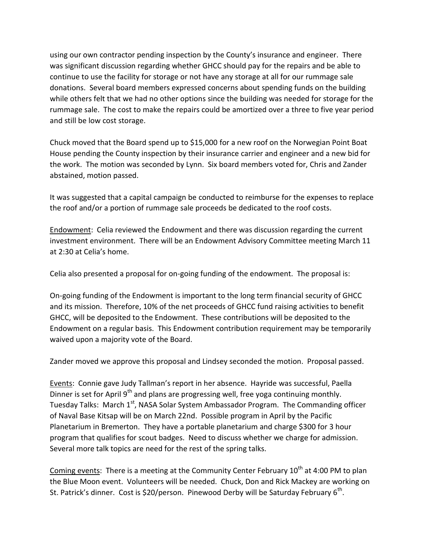using our own contractor pending inspection by the County's insurance and engineer. There was significant discussion regarding whether GHCC should pay for the repairs and be able to continue to use the facility for storage or not have any storage at all for our rummage sale donations. Several board members expressed concerns about spending funds on the building while others felt that we had no other options since the building was needed for storage for the rummage sale. The cost to make the repairs could be amortized over a three to five year period and still be low cost storage.

Chuck moved that the Board spend up to \$15,000 for a new roof on the Norwegian Point Boat House pending the County inspection by their insurance carrier and engineer and a new bid for the work. The motion was seconded by Lynn. Six board members voted for, Chris and Zander abstained, motion passed.

It was suggested that a capital campaign be conducted to reimburse for the expenses to replace the roof and/or a portion of rummage sale proceeds be dedicated to the roof costs.

Endowment: Celia reviewed the Endowment and there was discussion regarding the current investment environment. There will be an Endowment Advisory Committee meeting March 11 at 2:30 at Celia's home.

Celia also presented a proposal for on-going funding of the endowment. The proposal is:

On-going funding of the Endowment is important to the long term financial security of GHCC and its mission. Therefore, 10% of the net proceeds of GHCC fund raising activities to benefit GHCC, will be deposited to the Endowment. These contributions will be deposited to the Endowment on a regular basis. This Endowment contribution requirement may be temporarily waived upon a majority vote of the Board.

Zander moved we approve this proposal and Lindsey seconded the motion. Proposal passed.

Events: Connie gave Judy Tallman's report in her absence. Hayride was successful, Paella Dinner is set for April 9<sup>th</sup> and plans are progressing well, free yoga continuing monthly. Tuesday Talks: March 1<sup>st</sup>, NASA Solar System Ambassador Program. The Commanding officer of Naval Base Kitsap will be on March 22nd. Possible program in April by the Pacific Planetarium in Bremerton. They have a portable planetarium and charge \$300 for 3 hour program that qualifies for scout badges. Need to discuss whether we charge for admission. Several more talk topics are need for the rest of the spring talks.

Coming events: There is a meeting at the Community Center February 10<sup>th</sup> at 4:00 PM to plan the Blue Moon event. Volunteers will be needed. Chuck, Don and Rick Mackey are working on St. Patrick's dinner. Cost is \$20/person. Pinewood Derby will be Saturday February 6<sup>th</sup>.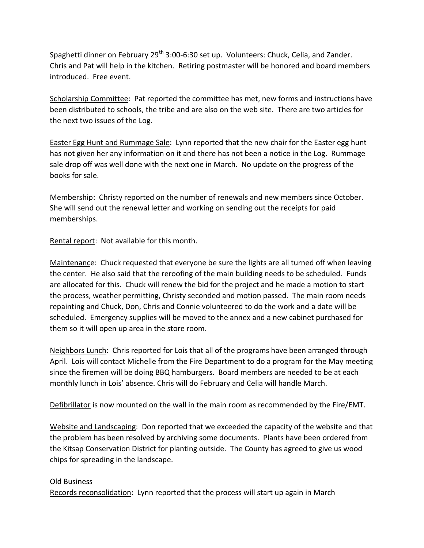Spaghetti dinner on February 29<sup>th</sup> 3:00-6:30 set up. Volunteers: Chuck, Celia, and Zander. Chris and Pat will help in the kitchen. Retiring postmaster will be honored and board members introduced. Free event.

Scholarship Committee: Pat reported the committee has met, new forms and instructions have been distributed to schools, the tribe and are also on the web site. There are two articles for the next two issues of the Log.

Easter Egg Hunt and Rummage Sale: Lynn reported that the new chair for the Easter egg hunt has not given her any information on it and there has not been a notice in the Log. Rummage sale drop off was well done with the next one in March. No update on the progress of the books for sale.

Membership: Christy reported on the number of renewals and new members since October. She will send out the renewal letter and working on sending out the receipts for paid memberships.

Rental report: Not available for this month.

Maintenance: Chuck requested that everyone be sure the lights are all turned off when leaving the center. He also said that the reroofing of the main building needs to be scheduled. Funds are allocated for this. Chuck will renew the bid for the project and he made a motion to start the process, weather permitting, Christy seconded and motion passed. The main room needs repainting and Chuck, Don, Chris and Connie volunteered to do the work and a date will be scheduled. Emergency supplies will be moved to the annex and a new cabinet purchased for them so it will open up area in the store room.

Neighbors Lunch: Chris reported for Lois that all of the programs have been arranged through April. Lois will contact Michelle from the Fire Department to do a program for the May meeting since the firemen will be doing BBQ hamburgers. Board members are needed to be at each monthly lunch in Lois' absence. Chris will do February and Celia will handle March.

Defibrillator is now mounted on the wall in the main room as recommended by the Fire/EMT.

Website and Landscaping: Don reported that we exceeded the capacity of the website and that the problem has been resolved by archiving some documents. Plants have been ordered from the Kitsap Conservation District for planting outside. The County has agreed to give us wood chips for spreading in the landscape.

## Old Business

Records reconsolidation: Lynn reported that the process will start up again in March